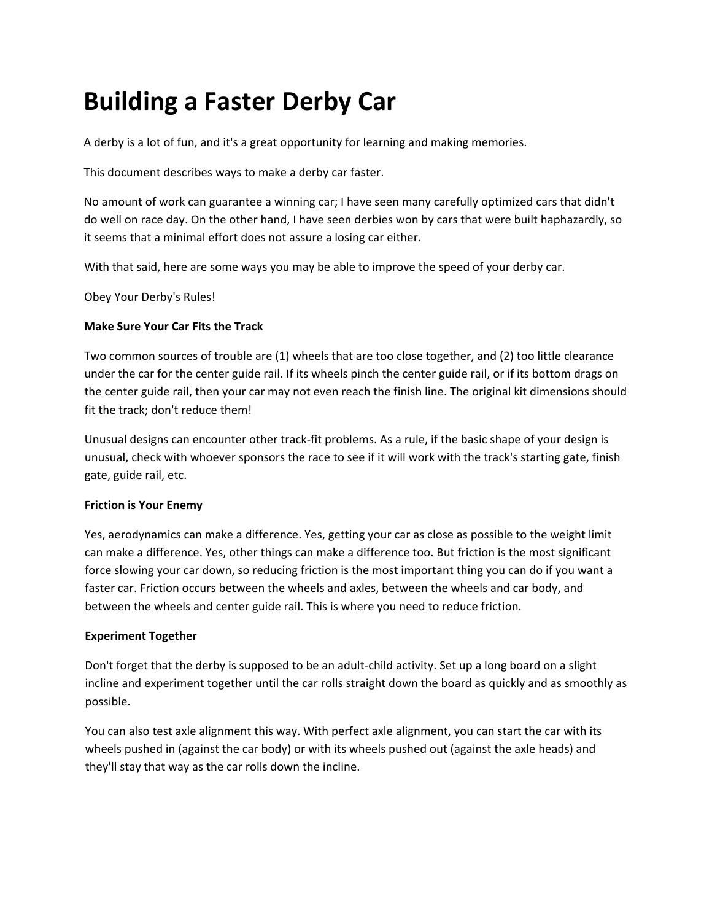# **Building a Faster Derby Car**

A derby is a lot of fun, and it's a great opportunity for learning and making memories.

This document describes ways to make a derby car faster.

No amount of work can guarantee a winning car; I have seen many carefully optimized cars that didn't do well on race day. On the other hand, I have seen derbies won by cars that were built haphazardly, so it seems that a minimal effort does not assure a losing car either.

With that said, here are some ways you may be able to improve the speed of your derby car.

Obey Your Derby's Rules!

## **Make Sure Your Car Fits the Track**

Two common sources of trouble are (1) wheels that are too close together, and (2) too little clearance under the car for the center guide rail. If its wheels pinch the center guide rail, or if its bottom drags on the center guide rail, then your car may not even reach the finish line. The original kit dimensions should fit the track; don't reduce them!

Unusual designs can encounter other track‐fit problems. As a rule, if the basic shape of your design is unusual, check with whoever sponsors the race to see if it will work with the track's starting gate, finish gate, guide rail, etc.

## **Friction is Your Enemy**

Yes, aerodynamics can make a difference. Yes, getting your car as close as possible to the weight limit can make a difference. Yes, other things can make a difference too. But friction is the most significant force slowing your car down, so reducing friction is the most important thing you can do if you want a faster car. Friction occurs between the wheels and axles, between the wheels and car body, and between the wheels and center guide rail. This is where you need to reduce friction.

## **Experiment Together**

Don't forget that the derby is supposed to be an adult‐child activity. Set up a long board on a slight incline and experiment together until the car rolls straight down the board as quickly and as smoothly as possible.

You can also test axle alignment this way. With perfect axle alignment, you can start the car with its wheels pushed in (against the car body) or with its wheels pushed out (against the axle heads) and they'll stay that way as the car rolls down the incline.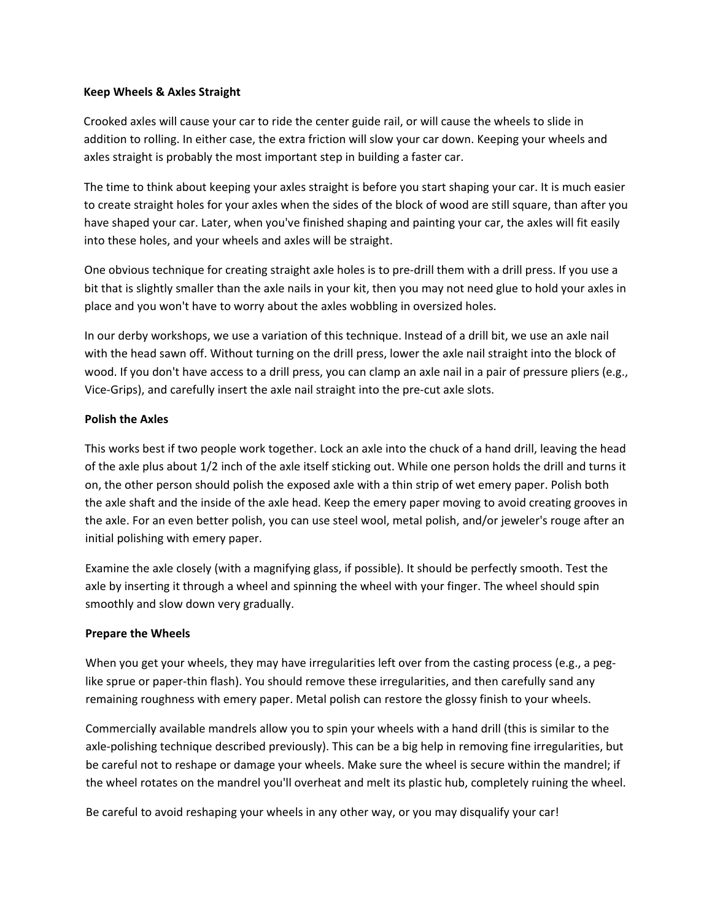#### **Keep Wheels & Axles Straight**

Crooked axles will cause your car to ride the center guide rail, or will cause the wheels to slide in addition to rolling. In either case, the extra friction will slow your car down. Keeping your wheels and axles straight is probably the most important step in building a faster car.

The time to think about keeping your axles straight is before you start shaping your car. It is much easier to create straight holes for your axles when the sides of the block of wood are still square, than after you have shaped your car. Later, when you've finished shaping and painting your car, the axles will fit easily into these holes, and your wheels and axles will be straight.

One obvious technique for creating straight axle holes is to pre‐drill them with a drill press. If you use a bit that is slightly smaller than the axle nails in your kit, then you may not need glue to hold your axles in place and you won't have to worry about the axles wobbling in oversized holes.

In our derby workshops, we use a variation of this technique. Instead of a drill bit, we use an axle nail with the head sawn off. Without turning on the drill press, lower the axle nail straight into the block of wood. If you don't have access to a drill press, you can clamp an axle nail in a pair of pressure pliers (e.g., Vice‐Grips), and carefully insert the axle nail straight into the pre‐cut axle slots.

## **Polish the Axles**

This works best if two people work together. Lock an axle into the chuck of a hand drill, leaving the head of the axle plus about 1/2 inch of the axle itself sticking out. While one person holds the drill and turns it on, the other person should polish the exposed axle with a thin strip of wet emery paper. Polish both the axle shaft and the inside of the axle head. Keep the emery paper moving to avoid creating grooves in the axle. For an even better polish, you can use steel wool, metal polish, and/or jeweler's rouge after an initial polishing with emery paper.

Examine the axle closely (with a magnifying glass, if possible). It should be perfectly smooth. Test the axle by inserting it through a wheel and spinning the wheel with your finger. The wheel should spin smoothly and slow down very gradually.

## **Prepare the Wheels**

When you get your wheels, they may have irregularities left over from the casting process (e.g., a peglike sprue or paper‐thin flash). You should remove these irregularities, and then carefully sand any remaining roughness with emery paper. Metal polish can restore the glossy finish to your wheels.

Commercially available mandrels allow you to spin your wheels with a hand drill (this is similar to the axle‐polishing technique described previously). This can be a big help in removing fine irregularities, but be careful not to reshape or damage your wheels. Make sure the wheel is secure within the mandrel; if the wheel rotates on the mandrel you'll overheat and melt its plastic hub, completely ruining the wheel.

Be careful to avoid reshaping your wheels in any other way, or you may disqualify your car!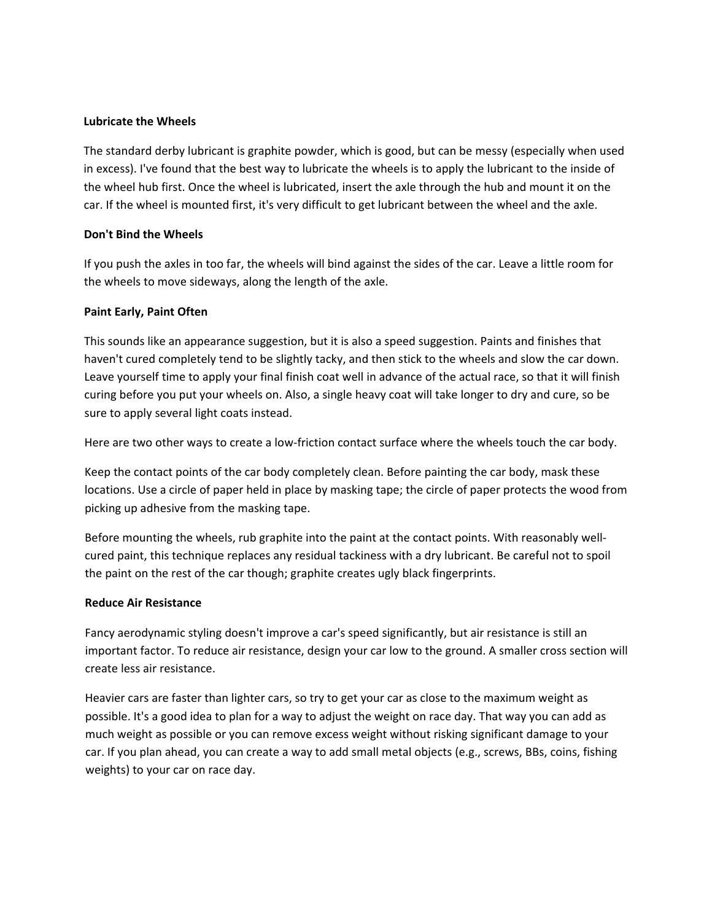#### **Lubricate the Wheels**

The standard derby lubricant is graphite powder, which is good, but can be messy (especially when used in excess). I've found that the best way to lubricate the wheels is to apply the lubricant to the inside of the wheel hub first. Once the wheel is lubricated, insert the axle through the hub and mount it on the car. If the wheel is mounted first, it's very difficult to get lubricant between the wheel and the axle.

## **Don't Bind the Wheels**

If you push the axles in too far, the wheels will bind against the sides of the car. Leave a little room for the wheels to move sideways, along the length of the axle.

#### **Paint Early, Paint Often**

This sounds like an appearance suggestion, but it is also a speed suggestion. Paints and finishes that haven't cured completely tend to be slightly tacky, and then stick to the wheels and slow the car down. Leave yourself time to apply your final finish coat well in advance of the actual race, so that it will finish curing before you put your wheels on. Also, a single heavy coat will take longer to dry and cure, so be sure to apply several light coats instead.

Here are two other ways to create a low-friction contact surface where the wheels touch the car body.

Keep the contact points of the car body completely clean. Before painting the car body, mask these locations. Use a circle of paper held in place by masking tape; the circle of paper protects the wood from picking up adhesive from the masking tape.

Before mounting the wheels, rub graphite into the paint at the contact points. With reasonably wellcured paint, this technique replaces any residual tackiness with a dry lubricant. Be careful not to spoil the paint on the rest of the car though; graphite creates ugly black fingerprints.

#### **Reduce Air Resistance**

Fancy aerodynamic styling doesn't improve a car's speed significantly, but air resistance is still an important factor. To reduce air resistance, design your car low to the ground. A smaller cross section will create less air resistance.

Heavier cars are faster than lighter cars, so try to get your car as close to the maximum weight as possible. It's a good idea to plan for a way to adjust the weight on race day. That way you can add as much weight as possible or you can remove excess weight without risking significant damage to your car. If you plan ahead, you can create a way to add small metal objects (e.g., screws, BBs, coins, fishing weights) to your car on race day.